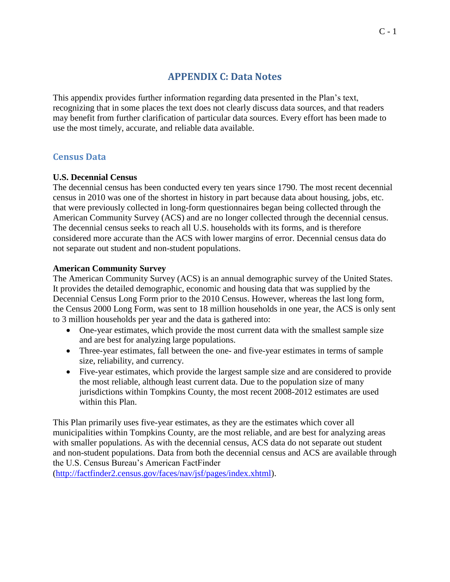# **APPENDIX C: Data Notes**

This appendix provides further information regarding data presented in the Plan's text, recognizing that in some places the text does not clearly discuss data sources, and that readers may benefit from further clarification of particular data sources. Every effort has been made to use the most timely, accurate, and reliable data available.

# **Census Data**

# **U.S. Decennial Census**

The decennial census has been conducted every ten years since 1790. The most recent decennial census in 2010 was one of the shortest in history in part because data about housing, jobs, etc. that were previously collected in long-form questionnaires began being collected through the American Community Survey (ACS) and are no longer collected through the decennial census. The decennial census seeks to reach all U.S. households with its forms, and is therefore considered more accurate than the ACS with lower margins of error. Decennial census data do not separate out student and non-student populations.

# **American Community Survey**

The American Community Survey (ACS) is an annual demographic survey of the United States. It provides the detailed demographic, economic and housing data that was supplied by the Decennial Census Long Form prior to the 2010 Census. However, whereas the last long form, the Census 2000 Long Form, was sent to 18 million households in one year, the ACS is only sent to 3 million households per year and the data is gathered into:

- One-year estimates, which provide the most current data with the smallest sample size and are best for analyzing large populations.
- Three-year estimates, fall between the one- and five-year estimates in terms of sample size, reliability, and currency.
- Five-year estimates, which provide the largest sample size and are considered to provide the most reliable, although least current data. Due to the population size of many jurisdictions within Tompkins County, the most recent 2008-2012 estimates are used within this Plan.

This Plan primarily uses five-year estimates, as they are the estimates which cover all municipalities within Tompkins County, are the most reliable, and are best for analyzing areas with smaller populations. As with the decennial census, ACS data do not separate out student and non-student populations. Data from both the decennial census and ACS are available through the U.S. Census Bureau's American FactFinder

[\(http://factfinder2.census.gov/faces/nav/jsf/pages/index.xhtml\)](http://factfinder2.census.gov/faces/nav/jsf/pages/index.xhtml).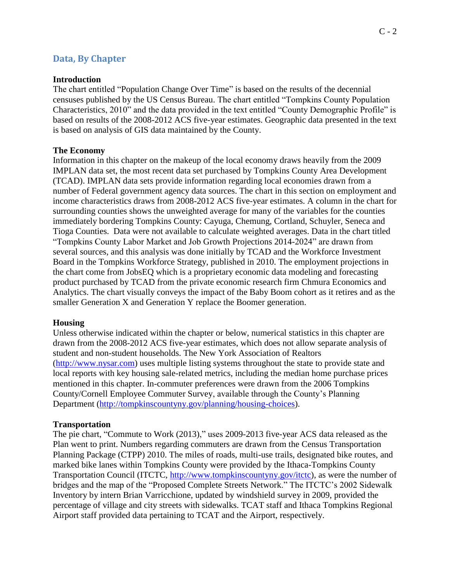# **Data, By Chapter**

#### **Introduction**

The chart entitled "Population Change Over Time" is based on the results of the decennial censuses published by the US Census Bureau. The chart entitled "Tompkins County Population Characteristics, 2010" and the data provided in the text entitled "County Demographic Profile" is based on results of the 2008-2012 ACS five-year estimates. Geographic data presented in the text is based on analysis of GIS data maintained by the County.

### **The Economy**

Information in this chapter on the makeup of the local economy draws heavily from the 2009 IMPLAN data set, the most recent data set purchased by Tompkins County Area Development (TCAD). IMPLAN data sets provide information regarding local economies drawn from a number of Federal government agency data sources. The chart in this section on employment and income characteristics draws from 2008-2012 ACS five-year estimates. A column in the chart for surrounding counties shows the unweighted average for many of the variables for the counties immediately bordering Tompkins County: Cayuga, Chemung, Cortland, Schuyler, Seneca and Tioga Counties. Data were not available to calculate weighted averages. Data in the chart titled "Tompkins County Labor Market and Job Growth Projections 2014-2024" are drawn from several sources, and this analysis was done initially by TCAD and the Workforce Investment Board in the Tompkins Workforce Strategy, published in 2010. The employment projections in the chart come from JobsEQ which is a proprietary economic data modeling and forecasting product purchased by TCAD from the private economic research firm Chmura Economics and Analytics. The chart visually conveys the impact of the Baby Boom cohort as it retires and as the smaller Generation X and Generation Y replace the Boomer generation.

#### **Housing**

Unless otherwise indicated within the chapter or below, numerical statistics in this chapter are drawn from the 2008-2012 ACS five-year estimates, which does not allow separate analysis of student and non-student households. The New York Association of Realtors [\(http://www.nysar.com\)](http://www.nysar.com/) uses multiple listing systems throughout the state to provide state and local reports with key housing sale-related metrics, including the median home purchase prices mentioned in this chapter. In-commuter preferences were drawn from the 2006 Tompkins County/Cornell Employee Commuter Survey, available through the County's Planning Department [\(http://tompkinscountyny.gov/planning/housing-choices\)](http://tompkinscountyny.gov/planning/housing-choices).

### **Transportation**

The pie chart, "Commute to Work (2013)," uses 2009-2013 five-year ACS data released as the Plan went to print. Numbers regarding commuters are drawn from the Census Transportation Planning Package (CTPP) 2010. The miles of roads, multi-use trails, designated bike routes, and marked bike lanes within Tompkins County were provided by the Ithaca-Tompkins County Transportation Council (ITCTC, [http://www.tompkinscountyny.gov/itctc\)](http://www.tompkinscountyny.gov/itctc), as were the number of bridges and the map of the "Proposed Complete Streets Network." The ITCTC's 2002 Sidewalk Inventory by intern Brian Varricchione, updated by windshield survey in 2009, provided the percentage of village and city streets with sidewalks. TCAT staff and Ithaca Tompkins Regional Airport staff provided data pertaining to TCAT and the Airport, respectively.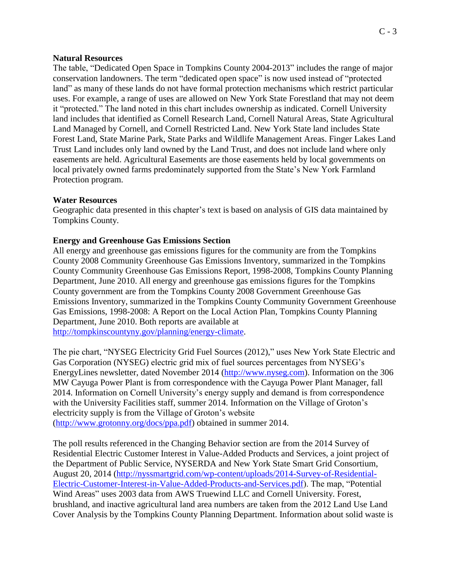#### **Natural Resources**

The table, "Dedicated Open Space in Tompkins County 2004-2013" includes the range of major conservation landowners. The term "dedicated open space" is now used instead of "protected land" as many of these lands do not have formal protection mechanisms which restrict particular uses. For example, a range of uses are allowed on New York State Forestland that may not deem it "protected." The land noted in this chart includes ownership as indicated. Cornell University land includes that identified as Cornell Research Land, Cornell Natural Areas, State Agricultural Land Managed by Cornell, and Cornell Restricted Land. New York State land includes State Forest Land, State Marine Park, State Parks and Wildlife Management Areas. Finger Lakes Land Trust Land includes only land owned by the Land Trust, and does not include land where only easements are held. Agricultural Easements are those easements held by local governments on local privately owned farms predominately supported from the State's New York Farmland Protection program.

### **Water Resources**

Geographic data presented in this chapter's text is based on analysis of GIS data maintained by Tompkins County.

### **Energy and Greenhouse Gas Emissions Section**

All energy and greenhouse gas emissions figures for the community are from the Tompkins County 2008 Community Greenhouse Gas Emissions Inventory, summarized in the Tompkins County Community Greenhouse Gas Emissions Report, 1998-2008, Tompkins County Planning Department, June 2010. All energy and greenhouse gas emissions figures for the Tompkins County government are from the Tompkins County 2008 Government Greenhouse Gas Emissions Inventory, summarized in the Tompkins County Community Government Greenhouse Gas Emissions, 1998-2008: A Report on the Local Action Plan, Tompkins County Planning Department, June 2010. Both reports are available at [http://tompkinscountyny.gov/planning/energy-climate.](http://tompkinscountyny.gov/planning/energy-climate)

The pie chart, "NYSEG Electricity Grid Fuel Sources (2012)," uses New York State Electric and Gas Corporation (NYSEG) electric grid mix of fuel sources percentages from NYSEG's EnergyLines newsletter, dated November 2014 [\(http://www.nyseg.com\)](http://www.nyseg.com/). Information on the 306 MW Cayuga Power Plant is from correspondence with the Cayuga Power Plant Manager, fall 2014. Information on Cornell University's energy supply and demand is from correspondence with the University Facilities staff, summer 2014. Information on the Village of Groton's electricity supply is from the Village of Groton's website [\(http://www.grotonny.org/docs/ppa.pdf\)](http://www.grotonny.org/docs/ppa.pdf) obtained in summer 2014.

The poll results referenced in the Changing Behavior section are from the 2014 Survey of Residential Electric Customer Interest in Value-Added Products and Services, a joint project of the Department of Public Service, NYSERDA and New York State Smart Grid Consortium, August 20, 2014 [\(http://nyssmartgrid.com/wp-content/uploads/2014-Survey-of-Residential-](http://nyssmartgrid.com/wp-content/uploads/2014-Survey-of-Residential-Electric-Customer-Interest-in-Value-Added-Products-and-Services.pdf)[Electric-Customer-Interest-in-Value-Added-Products-and-Services.pdf\)](http://nyssmartgrid.com/wp-content/uploads/2014-Survey-of-Residential-Electric-Customer-Interest-in-Value-Added-Products-and-Services.pdf). The map, "Potential Wind Areas" uses 2003 data from AWS Truewind LLC and Cornell University. Forest, brushland, and inactive agricultural land area numbers are taken from the 2012 Land Use Land Cover Analysis by the Tompkins County Planning Department. Information about solid waste is